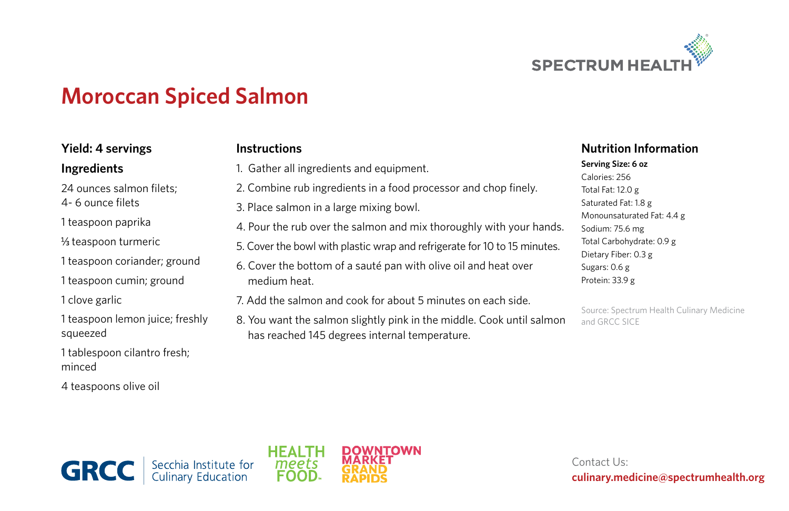

# **Moroccan Spiced Salmon**

**Instructions**

### **Yield: 4 servings**

#### **Ingredients**

24 ounces salmon filets;

4- 6 ounce filets

1 teaspoon paprika

1/<sub>3</sub> teaspoon turmeric

1 teaspoon coriander; ground

1 teaspoon cumin; ground

1 clove garlic

1 teaspoon lemon juice; freshly squeezed

1 tablespoon cilantro fresh; minced

4 teaspoons olive oil

| 1. Gather all ingredients and equipment.                                                                               | <b>Serving Siz</b><br>Calories: 2!<br>Total Fat: 12                            |
|------------------------------------------------------------------------------------------------------------------------|--------------------------------------------------------------------------------|
| 2. Combine rub ingredients in a food processor and chop finely.                                                        |                                                                                |
| 3. Place salmon in a large mixing bowl.                                                                                | Saturated F<br>Monounsat                                                       |
| 4. Pour the rub over the salmon and mix thoroughly with your hands.                                                    | Sodium: 75<br><b>Total Carbo</b><br>Dietary Fib<br>Sugars: 0.6<br>Protein: 33. |
| 5. Cover the bowl with plastic wrap and refrigerate for 10 to 15 minutes.                                              |                                                                                |
| 6. Cover the bottom of a sauté pan with olive oil and heat over<br>medium heat.                                        |                                                                                |
| 7. Add the salmon and cook for about 5 minutes on each side.                                                           | Source: Spe<br>and GRCC:                                                       |
| 8. You want the salmon slightly pink in the middle. Cook until salmon<br>has reached 145 degrees internal temperature. |                                                                                |

#### **Nutrition Information**

#### **Serving Size: 6 oz** 56  $2.0 e$ Fat:  $1.8 g$ turated Fat: 4.4 g

 $5.6 \text{ mg}$ ohydrate: 0.9 g  $er: 0.3 g$  $g$  $.9 g$ 

ectrum Health Culinary Medicine sice



Contact Us: **culinary.medicine@spectrumhealth.org**